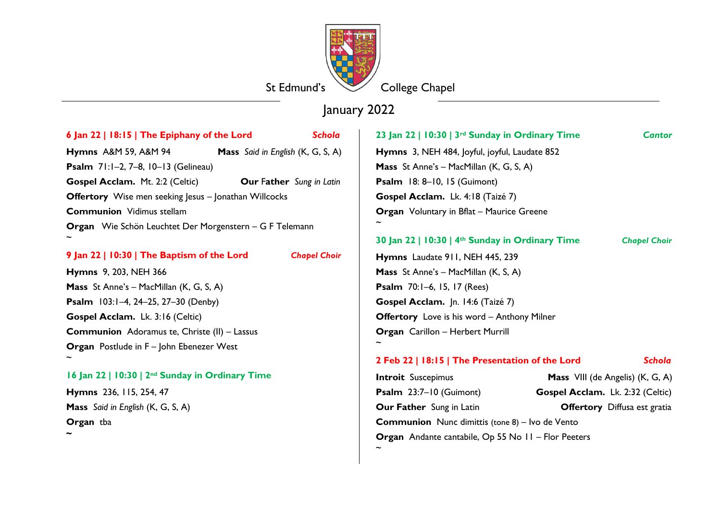## January 2022

~

## **6 Jan 22 | 18:15 | The Epiphany of the Lord** *Schola* **Hymns** A&M 59, A&M 94 **Mass** *Said in English* (K, G, S, A) **Psalm** 71:1–2, 7–8, 10–13 (Gelineau) **Gospel Acclam.** Mt. 2:2 (Celtic) **Our** F**ather** *Sung in Latin* **Offertory** Wise men seeking Jesus – Jonathan Willcocks **Communion** Vidimus stellam **Organ** Wie Schön Leuchtet Der Morgenstern – G F Telemann ~

#### **9 Jan 22 | 10:30 | The Baptism of the Lord** *Chapel Choir*

**Hymns** 9, 203, NEH 366 **Mass** St Anne's – MacMillan (K, G, S, A) **Psalm** 103:1–4, 24–25, 27–30 (Denby) **Gospel Acclam.** Lk. 3:16 (Celtic) **Communion** Adoramus te, Christe (II) – Lassus **Organ** Postlude in F – John Ebenezer West ~

## **16 Jan 22 | 10:30 | 2nd Sunday in Ordinary Time**

**Hymns** 236, 115, 254, 47 **Mass** *Said in English* (K, G, S, A) **Organ** tba **~**

**23 Jan 22 | 10:30 | 3rd Sunday in Ordinary Time** *Cantor* **Hymns** 3, NEH 484, Joyful, joyful, Laudate 852 **Mass** St Anne's – MacMillan (K, G, S, A) **Psalm** 18: 8–10, 15 (Guimont) **Gospel Acclam.** Lk. 4:18 (Taizé 7) **Organ** Voluntary in Bflat – Maurice Greene  $\thicksim$ 

#### **30 Jan 22 | 10:30 | 4th Sunday in Ordinary Time** *Chapel Choir*

**Hymns** Laudate 911, NEH 445, 239 **Mass** St Anne's – MacMillan (K, S, A) **Psalm** 70:1–6, 15, 17 (Rees) **Gospel Acclam.** Jn. 14:6 (Taizé 7) **Offertory** Love is his word – Anthony Milner **Organ** Carillon – Herbert Murrill ~

#### **2 Feb 22 | 18:15 | The Presentation of the Lord** *Schola*

**Introit** Suscepimus **Mass** VIII (de Angelis) (K, G, A) **Psalm** 23:7–10 (Guimont) **Gospel Acclam.** Lk. 2:32 (Celtic) **Our Father** Sung in Latin **Offertory** Diffusa est gratia **Communion** Nunc dimittis (tone 8) – Ivo de Vento **Organ** Andante cantabile, Op 55 No 11 – Flor Peeters

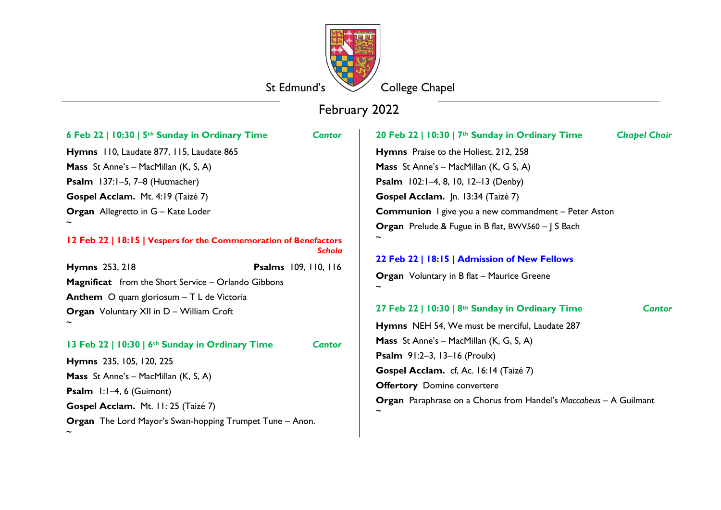# February 2022

### **6 Feb 22 | 10:30 | 5th Sunday in Ordinary Time** *Cantor*

**Hymns** 110, Laudate 877, 115, Laudate 865 **Mass** St Anne's – MacMillan (K, S, A) **Psalm** 137:1–5, 7–8 (Hutmacher) **Gospel Acclam.** Mt. 4:19 (Taizé 7) **Organ** Allegretto in G – Kate Loder ~

#### **12 Feb 22 | 18:15 | Vespers for the Commemoration of Benefactors** *Schola*

**Hymns** 253, 218 **Psalms** 109, 110, 116 **Magnificat** from the Short Service – Orlando Gibbons **Anthem** O quam gloriosum – T L de Victoria **Organ** Voluntary XII in D – William Croft ~

#### **13 Feb 22 | 10:30 | 6th Sunday in Ordinary Time** *Cantor*

**Hymns** 235, 105, 120, 225 **Mass** St Anne's – MacMillan (K, S, A) **Psalm** 1:1–4, 6 (Guimont) **Gospel Acclam.** Mt. 11: 25 (Taizé 7) **Organ** The Lord Mayor's Swan-hopping Trumpet Tune – Anon. ~

**20 Feb 22 | 10:30 | 7th Sunday in Ordinary Time** *Chapel Choir* **Hymns** Praise to the Holiest, 212, 258 **Mass** St Anne's – MacMillan (K, G S, A) **Psalm** 102:1–4, 8, 10, 12–13 (Denby) **Gospel Acclam.** Jn. 13:34 (Taizé 7) **Communion** I give you a new commandment – Peter Aston **Organ** Prelude & Fugue in B flat, BWV560 – J S Bach ~

### **22 Feb 22 | 18:15 | Admission of New Fellows**

**Organ** Voluntary in B flat – Maurice Greene ~

#### **27 Feb 22 | 10:30 | 8th Sunday in Ordinary Time** *Cantor*

**Hymns** NEH 54, We must be merciful, Laudate 287 **Mass** St Anne's – MacMillan (K, G, S, A) **Psalm** 91:2–3, 13–16 (Proulx) **Gospel Acclam.** cf, Ac. 16:14 (Taizé 7) **Offertory** Domine convertere **Organ** Paraphrase on a Chorus from Handel's *Maccabeus* – A Guilmant ~

St Edmund's College Chapel